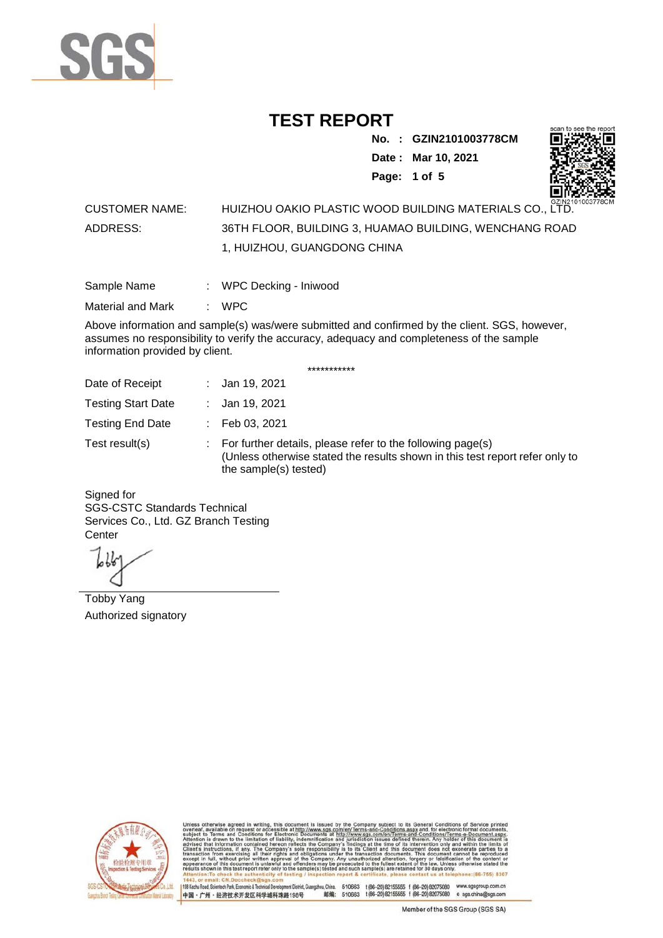

**No. : GZIN2101003778CM Date : Mar 10, 2021 Page: 1 of 5** 



#### CUSTOMER NAME: HUIZHOU OAKIO PLASTIC WOOD BUILDING MATERIALS CO., LTD. ADDRESS: 36TH FLOOR, BUILDING 3, HUAMAO BUILDING, WENCHANG ROAD 1, HUIZHOU, GUANGDONG CHINA

| Sample Name | WPC Decking - Iniwood |  |
|-------------|-----------------------|--|
|             |                       |  |

Material and Mark : WPC

Above information and sample(s) was/were submitted and confirmed by the client. SGS, however, assumes no responsibility to verify the accuracy, adequacy and completeness of the sample information provided by client.

\*\*\*\*\*\*\*\*\*\*\*

| Date of Receipt           | : Jan 19, 2021                                                                                                                                                                   |
|---------------------------|----------------------------------------------------------------------------------------------------------------------------------------------------------------------------------|
| <b>Testing Start Date</b> | : Jan 19, 2021                                                                                                                                                                   |
| <b>Testing End Date</b>   | $\therefore$ Feb 03, 2021                                                                                                                                                        |
| Test result(s)            | $\therefore$ For further details, please refer to the following page(s)<br>(Unless otherwise stated the results shown in this test report refer only to<br>the sample(s) tested) |

Signed for SGS-CSTC Standards Technical Services Co., Ltd. GZ Branch Testing **Center** 

Tobby Yang Authorized signatory



510663 t(86-20) 82155555 f (86-20) 82075080 www.sgsgroup.com.cn<br>510663 t(86-20) 82155555 f (86-20) 82075080 e sgs.china@sgs.com 198 Kezhu Road, Scientech Park, Economic & Technical Devel tou, China. ant District G 邮编: 中国·广州·经济技术开发区科学城科珠路198号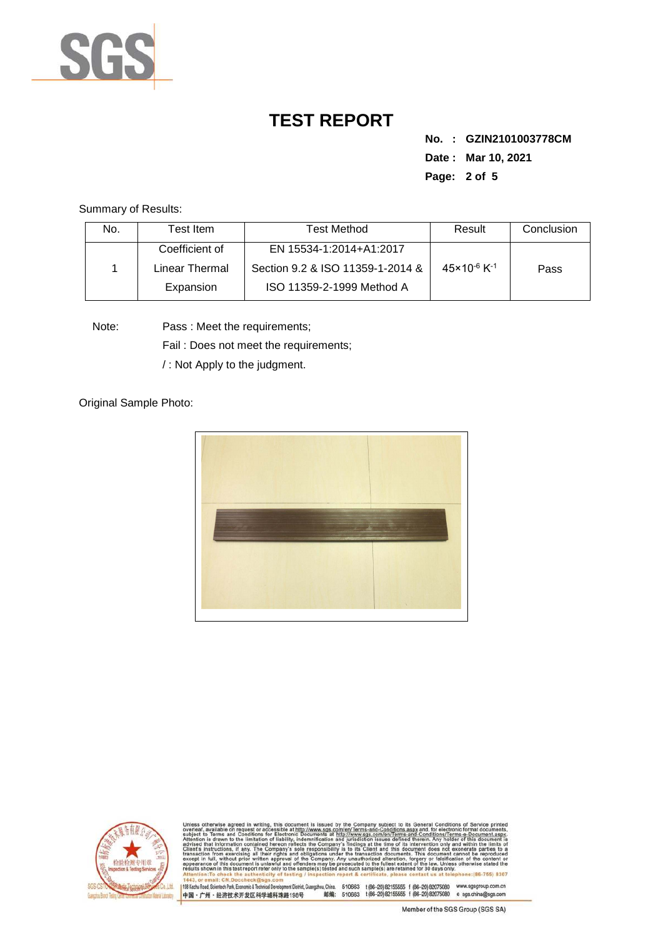

**No. : GZIN2101003778CM Date : Mar 10, 2021 Page: 2 of 5** 

Summary of Results:

| No. | Test Item.     | <b>Test Method</b>               | Result                              | Conclusion |
|-----|----------------|----------------------------------|-------------------------------------|------------|
|     | Coefficient of | EN 15534-1:2014+A1:2017          |                                     |            |
|     | Linear Thermal | Section 9.2 & ISO 11359-1-2014 & | $45 \times 10^{-6}$ K <sup>-1</sup> | Pass       |
|     | Expansion      | ISO 11359-2-1999 Method A        |                                     |            |

Note: Pass : Meet the requirements;

Fail : Does not meet the requirements;

/ : Not Apply to the judgment.

Original Sample Photo:





Conditions/Terms-e-Docu<br>rein. Any holder of this d 8307 198 Kezhu Road, Scientech Park, Economic & Technical Develop 中国·广州·经济技术开发区科学城科珠路198号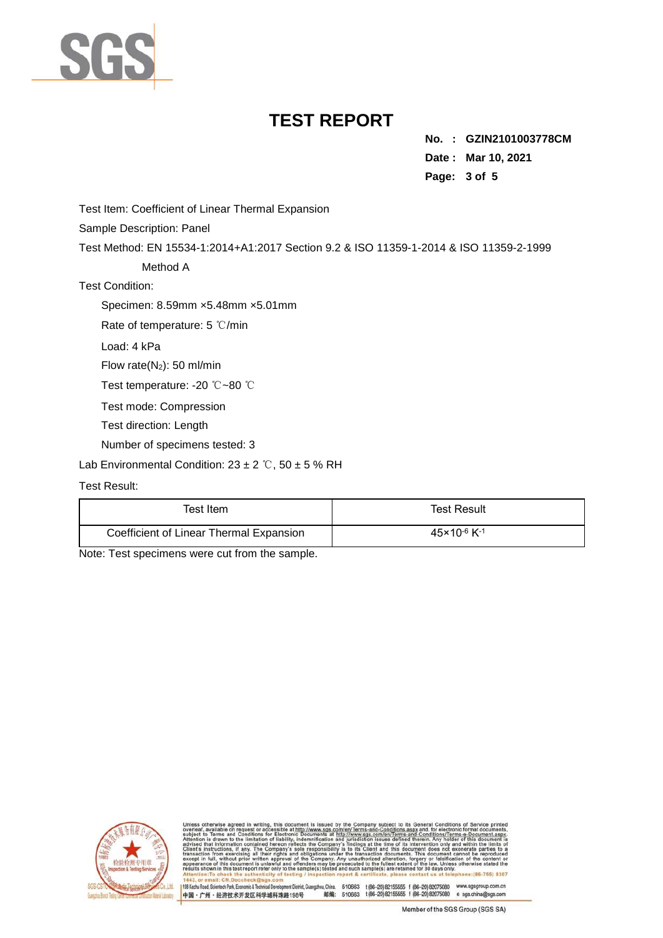

**No. : GZIN2101003778CM Date : Mar 10, 2021 Page: 3 of 5** 

Test Item: Coefficient of Linear Thermal Expansion

Sample Description: Panel

Test Method: EN 15534-1:2014+A1:2017 Section 9.2 & ISO 11359-1-2014 & ISO 11359-2-1999

Method A

Test Condition:

Specimen: 8.59mm ×5.48mm ×5.01mm

Rate of temperature: 5 ℃/min

Load: 4 kPa

Flow rate(N2): 50 ml/min

Test temperature: -20 ℃~80 ℃

Test mode: Compression

Test direction: Length

Number of specimens tested: 3

Lab Environmental Condition:  $23 \pm 2$  °C,  $50 \pm 5$  % RH

#### Test Result:

| Test Item.                              | Test Result                         |  |
|-----------------------------------------|-------------------------------------|--|
| Coefficient of Linear Thermal Expansion | $45 \times 10^{-6}$ K <sup>-1</sup> |  |

Note: Test specimens were cut from the sample.



198 Kezhu Road, Scientech Park, Economic & Technical Develo

nentDistrict,Guangzhou,China. 510663 t (86–20) 82155555 f (86–20) 82075080 www.sgsgroup.com.cn<br>格198号 邮编: 510663 t (86–20) 82155555 f (86–20) 82075080 e sgs.china@sgs.com 中国·广州·经济技术开发区科学城科珠路198号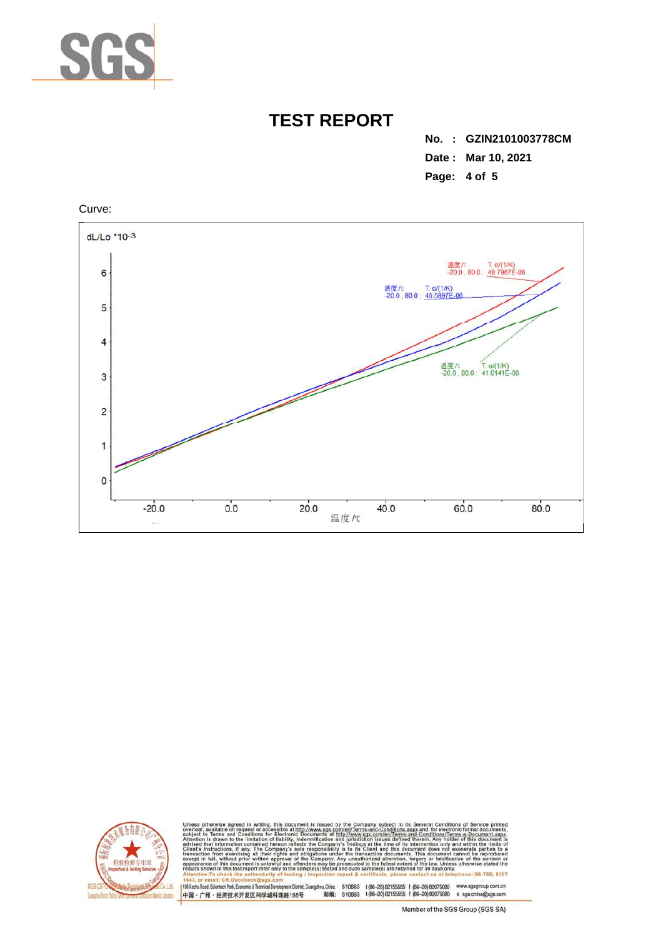

**No. : GZIN2101003778CM Date : Mar 10, 2021 Page: 4 of 5** 





Conditions/Terms-e-Do<br>rein. Any holder of this